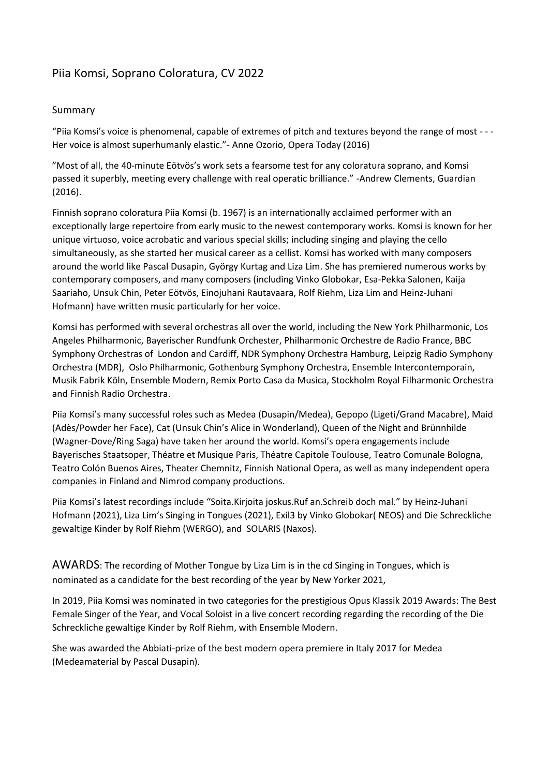# Piia Komsi, Soprano Coloratura, CV 2022

#### Summary

"Piia Komsi's voice is phenomenal, capable of extremes of pitch and textures beyond the range of most - - - Her voice is almost superhumanly elastic."- Anne Ozorio, Opera Today (2016)

"Most of all, the 40-minute Eötvös's work sets a fearsome test for any coloratura soprano, and Komsi passed it superbly, meeting every challenge with real operatic brilliance." -Andrew Clements, Guardian (2016).

Finnish soprano coloratura Piia Komsi (b. 1967) is an internationally acclaimed performer with an exceptionally large repertoire from early music to the newest contemporary works. Komsi is known for her unique virtuoso, voice acrobatic and various special skills; including singing and playing the cello simultaneously, as she started her musical career as a cellist. Komsi has worked with many composers around the world like Pascal Dusapin, György Kurtag and Liza Lim. She has premiered numerous works by contemporary composers, and many composers (including Vinko Globokar, Esa-Pekka Salonen, Kaija Saariaho, Unsuk Chin, Peter Eötvös, Einojuhani Rautavaara, Rolf Riehm, Liza Lim and Heinz-Juhani Hofmann) have written music particularly for her voice.

Komsi has performed with several orchestras all over the world, including the New York Philharmonic, Los Angeles Philharmonic, Bayerischer Rundfunk Orchester, Philharmonic Orchestre de Radio France, BBC Symphony Orchestras of London and Cardiff, NDR Symphony Orchestra Hamburg, Leipzig Radio Symphony Orchestra (MDR), Oslo Philharmonic, Gothenburg Symphony Orchestra, Ensemble Intercontemporain, Musik Fabrik Köln, Ensemble Modern, Remix Porto Casa da Musica, Stockholm Royal Filharmonic Orchestra and Finnish Radio Orchestra.

Piia Komsi's many successful roles such as Medea (Dusapin/Medea), Gepopo (Ligeti/Grand Macabre), Maid (Adès/Powder her Face), Cat (Unsuk Chin's Alice in Wonderland), Queen of the Night and Brünnhilde (Wagner-Dove/Ring Saga) have taken her around the world. Komsi's opera engagements include Bayerisches Staatsoper, Théatre et Musique Paris, Théatre Capitole Toulouse, Teatro Comunale Bologna, Teatro Colón Buenos Aires, Theater Chemnitz, Finnish National Opera, as well as many independent opera companies in Finland and Nimrod company productions.

Piia Komsi's latest recordings include "Soita.Kirjoita joskus.Ruf an.Schreib doch mal." by Heinz-Juhani Hofmann (2021), Liza Lim's Singing in Tongues (2021), Exil3 by Vinko Globokar( NEOS) and Die Schreckliche gewaltige Kinder by Rolf Riehm (WERGO), and SOLARIS (Naxos).

AWARDS: The recording of Mother Tongue by Liza Lim is in the cd Singing in Tongues, which is nominated as a candidate for the best recording of the year by New Yorker 2021,

In 2019, Piia Komsi was nominated in two categories for the prestigious Opus Klassik 2019 Awards: The Best Female Singer of the Year, and Vocal Soloist in a live concert recording regarding the recording of the Die Schreckliche gewaltige Kinder by Rolf Riehm, with Ensemble Modern.

She was awarded the Abbiati-prize of the best modern opera premiere in Italy 2017 for Medea (Medeamaterial by Pascal Dusapin).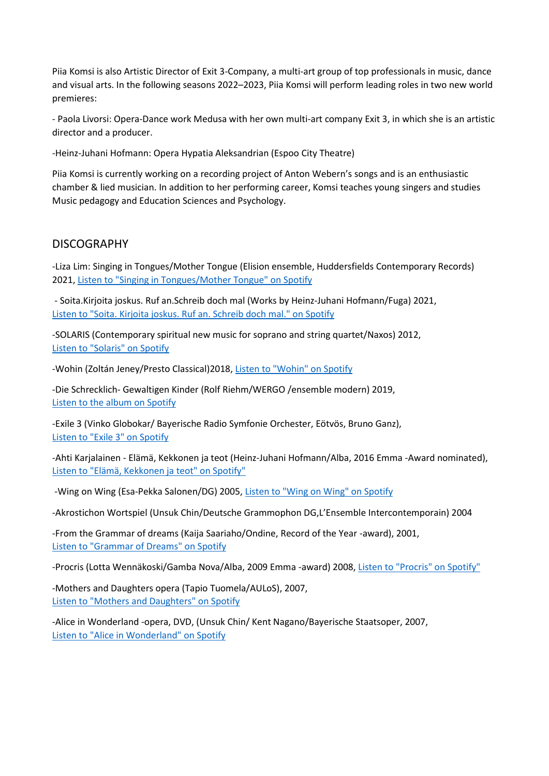Piia Komsi is also Artistic Director of Exit 3-Company, a multi-art group of top professionals in music, dance and visual arts. In the following seasons 2022–2023, Piia Komsi will perform leading roles in two new world premieres:

- Paola Livorsi: Opera-Dance work Medusa with her own multi-art company Exit 3, in which she is an artistic director and a producer.

-Heinz-Juhani Hofmann: Opera Hypatia Aleksandrian (Espoo City Theatre)

Piia Komsi is currently working on a recording project of Anton Webern's songs and is an enthusiastic chamber & lied musician. In addition to her performing career, Komsi teaches young singers and studies Music pedagogy and Education Sciences and Psychology.

## DISCOGRAPHY

-Liza Lim: Singing in Tongues/Mother Tongue (Elision ensemble, Huddersfields Contemporary Records) 2021, [Listen to "Singing in Tongues/Mother Tongue" on Spotify](https://open.spotify.com/album/70yyEBmbwFeccY1d0pc5A7)

- Soita.Kirjoita joskus. Ruf an.Schreib doch mal (Works by Heinz-Juhani Hofmann/Fuga) 2021, [Listen to "Soita. Kirjoita joskus. Ruf an. Schreib doch mal." on Spotify](https://open.spotify.com/playlist/5o55z3rdsRTemrKJZqMuDR?si=77cd18fa)

-SOLARIS (Contemporary spiritual new music for soprano and string quartet/Naxos) 2012, [Listen to "Solaris" on Spotify](https://open.spotify.com/album/4N84IfGrvo4m1accTbkIQr)

-Wohin (Zoltán Jeney/Presto Classical)2018, [Listen to "Wohin" on Spotify](https://open.spotify.com/album/7bqrC0XMt6pCPrRO6zU7wS)

-Die Schrecklich- Gewaltigen Kinder (Rolf Riehm/WERGO /ensemble modern) 2019, [Listen to the album on Spotify](https://open.spotify.com/album/1n51l5bb1Q2KS8Du6U6P4E?autoplay=true)

-Exile 3 (Vinko Globokar/ Bayerische Radio Symfonie Orchester, Eötvös, Bruno Ganz), [Listen to "Exile 3" on Spotify](https://open.spotify.com/artist/390xd9xbh7ZBVARL0nkyRT)

-Ahti Karjalainen - Elämä, Kekkonen ja teot (Heinz-Juhani Hofmann/Alba, 2016 Emma -Award nominated), Listen [to "Elämä, Kekkonen ja teot" on Spotify"](https://open.spotify.com/album/5QlbNADwIyhcf8s5WEq4BK)

-Wing on Wing (Esa-Pekka Salonen/DG) 2005[, Listen to "Wing on Wing" on Spotify](https://open.spotify.com/track/7oef09V8Fbio1BLXlbSRQO?si=8d90c77d721743bc)

-Akrostichon Wortspiel (Unsuk Chin/Deutsche Grammophon DG,L'Ensemble Intercontemporain) 2004

-From the Grammar of dreams (Kaija Saariaho/Ondine, Record of the Year -award), 2001, Listen [to "Grammar of Dreams" on Spotify](https://open.spotify.com/track/6PrX8Lcg01gyFosR7sd9Z0)

-Procris (Lotta Wennäkoski/Gamba Nova/Alba, 2009 Emma -award) 2008[, Listen to "Procris" on Spotify"](https://open.spotify.com/track/6ksYfhM6SMmQUrlkkDJfKw)

-Mothers and Daughters opera (Tapio Tuomela/AULoS), 2007, [Listen to "Mothers and Daughters" on Spotify](https://open.spotify.com/album/44eg9rCR7eu6PcRrYJYm8N)

-Alice in Wonderland -opera, DVD, (Unsuk Chin/ Kent Nagano/Bayerische Staatsoper, 2007, [Listen to "Alice in Wonderland" on Spotify](https://www.euroarts.com/labels/7241-chin-alice-wonderland)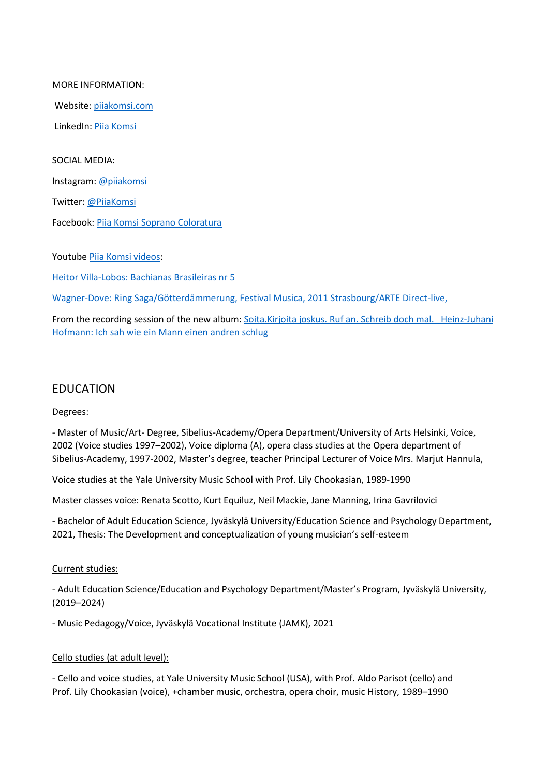#### MORE INFORMATION:

Website[: piiakomsi.com](https://piiakomsi.com/)

LinkedIn: [Piia Komsi](linkedin:%20https://www.linkedin.com/in/piia-komsi-0223b41b6/)

SOCIAL MEDIA:

Instagram: [@piiakomsi](https://www.instagram.com/piiakomsi/)

Twitter[: @PiiaKomsi](https://twitter.com/PiiaKomsi)

Facebook: [Piia Komsi Soprano Coloratura](https://www.facebook.com/PiiaKomsiSoprano)

Youtube [Piia Komsi videos:](https://www.youtube.com/channel/UCAz0tPDj2XEq45ZHaSOZRWA)

[Heitor Villa-Lobos: Bachianas Brasileiras nr 5](https://www.youtube.com/watch?v=FytCcjNfOhk)

[Wagner-Dove: Ring Saga/Götterdämmerung, Festival Musica, 2011 Strasbourg/ARTE Direct-live,](https://www.youtube.com/watch?v=x7vbG2QLBuw)

From the recording session of the new album: [Soita.Kirjoita joskus. Ruf an. Schreib doch mal. Heinz-Juhani](https://youtu.be/s_Y-pzUJI7o)  [Hofmann: Ich sah wie ein Mann einen andren schlug](https://youtu.be/s_Y-pzUJI7o)

### EDUCATION

Degrees:

- Master of Music/Art- Degree, Sibelius-Academy/Opera Department/University of Arts Helsinki, Voice, 2002 (Voice studies 1997–2002), Voice diploma (A), opera class studies at the Opera department of Sibelius-Academy, 1997-2002, Master's degree, teacher Principal Lecturer of Voice Mrs. Marjut Hannula,

Voice studies at the Yale University Music School with Prof. Lily Chookasian, 1989-1990

Master classes voice: Renata Scotto, Kurt Equiluz, Neil Mackie, Jane Manning, Irina Gavrilovici

- Bachelor of Adult Education Science, Jyväskylä University/Education Science and Psychology Department, 2021, Thesis: The Development and conceptualization of young musician's self-esteem

#### Current studies:

- Adult Education Science/Education and Psychology Department/Master's Program, Jyväskylä University, (2019–2024)

- Music Pedagogy/Voice, Jyväskylä Vocational Institute (JAMK), 2021

#### Cello studies (at adult level):

- Cello and voice studies, at Yale University Music School (USA), with Prof. Aldo Parisot (cello) and Prof. Lily Chookasian (voice), +chamber music, orchestra, opera choir, music History, 1989–1990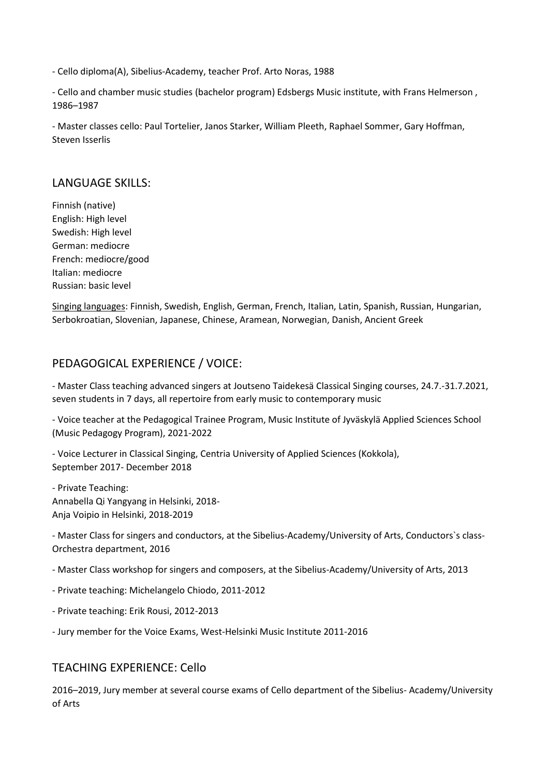- Cello diploma(A), Sibelius-Academy, teacher Prof. Arto Noras, 1988

- Cello and chamber music studies (bachelor program) Edsbergs Music institute, with Frans Helmerson , 1986–1987

- Master classes cello: Paul Tortelier, Janos Starker, William Pleeth, Raphael Sommer, Gary Hoffman, Steven Isserlis

### LANGUAGE SKILLS:

Finnish (native) English: High level Swedish: High level German: mediocre French: mediocre/good Italian: mediocre Russian: basic level

Singing languages: Finnish, Swedish, English, German, French, Italian, Latin, Spanish, Russian, Hungarian, Serbokroatian, Slovenian, Japanese, Chinese, Aramean, Norwegian, Danish, Ancient Greek

## PEDAGOGICAL EXPERIENCE / VOICE:

- Master Class teaching advanced singers at Joutseno Taidekesä Classical Singing courses, 24.7.-31.7.2021, seven students in 7 days, all repertoire from early music to contemporary music

- Voice teacher at the Pedagogical Trainee Program, Music Institute of Jyväskylä Applied Sciences School (Music Pedagogy Program), 2021-2022

- Voice Lecturer in Classical Singing, Centria University of Applied Sciences (Kokkola), September 2017- December 2018

- Private Teaching: Annabella Qi Yangyang in Helsinki, 2018- Anja Voipio in Helsinki, 2018-2019

- Master Class for singers and conductors, at the Sibelius-Academy/University of Arts, Conductors`s class-Orchestra department, 2016

- Master Class workshop for singers and composers, at the Sibelius-Academy/University of Arts, 2013
- Private teaching: Michelangelo Chiodo, 2011-2012
- Private teaching: Erik Rousi, 2012-2013
- Jury member for the Voice Exams, West-Helsinki Music Institute 2011-2016

### TEACHING EXPERIENCE: Cello

2016–2019, Jury member at several course exams of Cello department of the Sibelius- Academy/University of Arts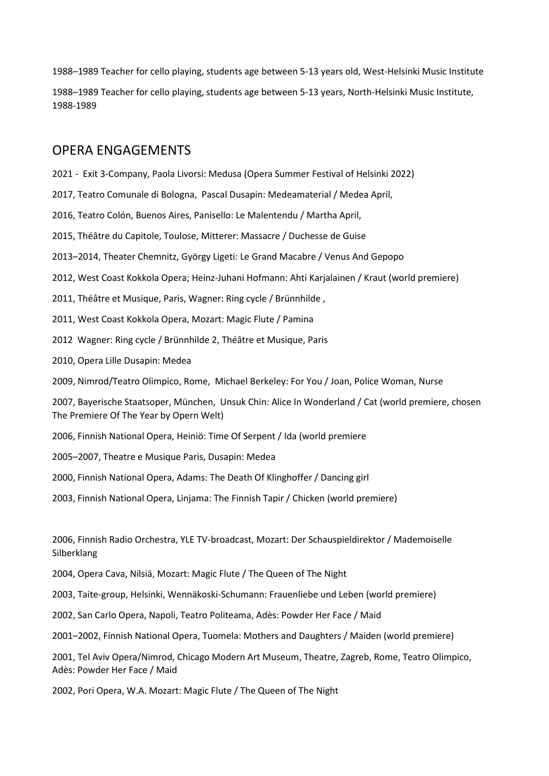1988–1989 Teacher for cello playing, students age between 5-13 years old, West-Helsinki Music Institute

1988–1989 Teacher for cello playing, students age between 5-13 years, North-Helsinki Music Institute, 1988-1989

### OPERA ENGAGEMENTS

2021 - Exit 3-Company, Paola Livorsi: Medusa (Opera Summer Festival of Helsinki 2022)

2017, Teatro Comunale di Bologna, Pascal Dusapin: Medeamaterial / Medea April,

2016, Teatro Colón, Buenos Aires, Panisello: Le Malentendu / Martha April,

2015, Théâtre du Capitole, Toulose, Mitterer: Massacre / Duchesse de Guise

2013–2014, Theater Chemnitz, György Ligeti: Le Grand Macabre / Venus And Gepopo

2012, West Coast Kokkola Opera; Heinz-Juhani Hofmann: Ahti Karjalainen / Kraut (world premiere)

2011, Théâtre et Musique, Paris, Wagner: Ring cycle / Brünnhilde ,

2011, West Coast Kokkola Opera, Mozart: Magic Flute / Pamina

2012 Wagner: Ring cycle / Brünnhilde 2, Théâtre et Musique, Paris

2010, Opera Lille Dusapin: Medea

2009, Nimrod/Teatro Olimpico, Rome, Michael Berkeley: For You / Joan, Police Woman, Nurse

2007, Bayerische Staatsoper, München, Unsuk Chin: Alice In Wonderland / Cat (world premiere, chosen The Premiere Of The Year by Opern Welt)

2006, Finnish National Opera, Heiniö: Time Of Serpent / Ida (world premiere

2005–2007, Theatre e Musique Paris, Dusapin: Medea

2000, Finnish National Opera, Adams: The Death Of Klinghoffer / Dancing girl

2003, Finnish National Opera, Linjama: The Finnish Tapir / Chicken (world premiere)

2006, Finnish Radio Orchestra, YLE TV-broadcast, Mozart: Der Schauspieldirektor / Mademoiselle Silberklang

2004, Opera Cava, Nilsiä, Mozart: Magic Flute / The Queen of The Night

2003, Taite-group, Helsinki, Wennäkoski-Schumann: Frauenliebe und Leben (world premiere)

2002, San Carlo Opera, Napoli, Teatro Politeama, Adès: Powder Her Face / Maid

2001–2002, Finnish National Opera, Tuomela: Mothers and Daughters / Maiden (world premiere)

2001, Tel Aviv Opera/Nimrod, Chicago Modern Art Museum, Theatre, Zagreb, Rome, Teatro Olimpico, Adès: Powder Her Face / Maid

2002, Pori Opera, W.A. Mozart: Magic Flute / The Queen of The Night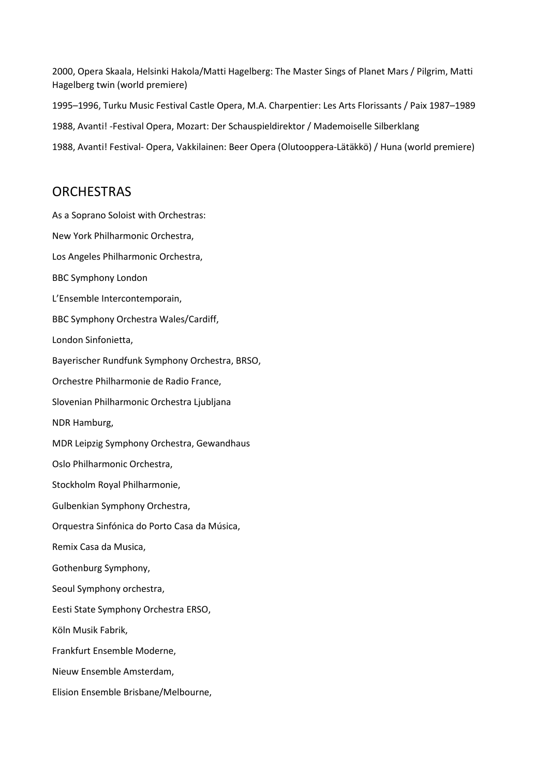2000, Opera Skaala, Helsinki Hakola/Matti Hagelberg: The Master Sings of Planet Mars / Pilgrim, Matti Hagelberg twin (world premiere) 1995–1996, Turku Music Festival Castle Opera, M.A. Charpentier: Les Arts Florissants / Paix 1987–1989

1988, Avanti! -Festival Opera, Mozart: Der Schauspieldirektor / Mademoiselle Silberklang

1988, Avanti! Festival- Opera, Vakkilainen: Beer Opera (Olutooppera-Lätäkkö) / Huna (world premiere)

## **ORCHESTRAS**

As a Soprano Soloist with Orchestras: New York Philharmonic Orchestra, Los Angeles Philharmonic Orchestra, BBC Symphony London L'Ensemble Intercontemporain, BBC Symphony Orchestra Wales/Cardiff, London Sinfonietta, Bayerischer Rundfunk Symphony Orchestra, BRSO, Orchestre Philharmonie de Radio France, Slovenian Philharmonic Orchestra Ljubljana NDR Hamburg, MDR Leipzig Symphony Orchestra, Gewandhaus Oslo Philharmonic Orchestra, Stockholm Royal Philharmonie, Gulbenkian Symphony Orchestra, Orquestra Sinfónica do Porto Casa da Música, Remix Casa da Musica, Gothenburg Symphony, Seoul Symphony orchestra, Eesti State Symphony Orchestra ERSO, Köln Musik Fabrik, Frankfurt Ensemble Moderne, Nieuw Ensemble Amsterdam, Elision Ensemble Brisbane/Melbourne,